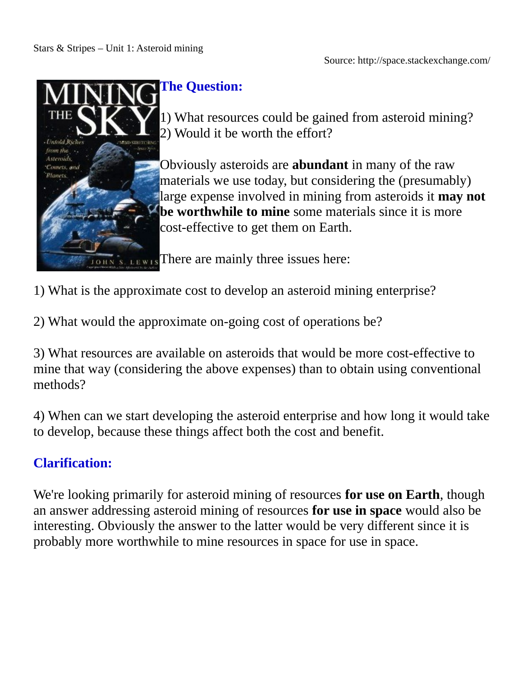Source: http://space.stackexchange.com/



# **The Question:**

1) What resources could be gained from asteroid mining? 2) Would it be worth the effort?

Obviously asteroids are **abundant** in many of the raw materials we use today, but considering the (presumably) large expense involved in mining from asteroids it **may not 2 be worthwhile to mine** some materials since it is more cost-effective to get them on Earth.

**There are mainly three issues here:** 

1) What is the approximate cost to develop an asteroid mining enterprise?

2) What would the approximate on-going cost of operations be?

3) What resources are available on asteroids that would be more cost-effective to mine that way (considering the above expenses) than to obtain using conventional methods?

4) When can we start developing the asteroid enterprise and how long it would take to develop, because these things affect both the cost and benefit.

# **Clarification:**

We're looking primarily for asteroid mining of resources **for use on Earth**, though an answer addressing asteroid mining of resources **for use in space** would also be interesting. Obviously the answer to the latter would be very different since it is probably more worthwhile to mine resources in space for use in space.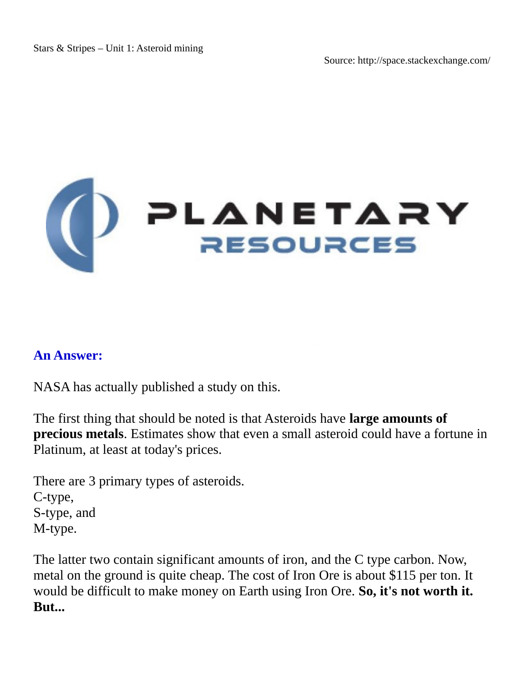# (D PLANETARY

## **An Answer:**

NASA has actually published a study on this.

The first thing that should be noted is that Asteroids have **large amounts of precious metals**. Estimates show that even a small asteroid could have a fortune in Platinum, at least at today's prices.

There are 3 primary types of asteroids. C-type, S-type, and M-type.

The latter two contain significant amounts of iron, and the C type carbon. Now, metal on the ground is quite cheap. The cost of Iron Ore is about \$115 per ton. It would be difficult to make money on Earth using Iron Ore. **So, it's not worth it. But...**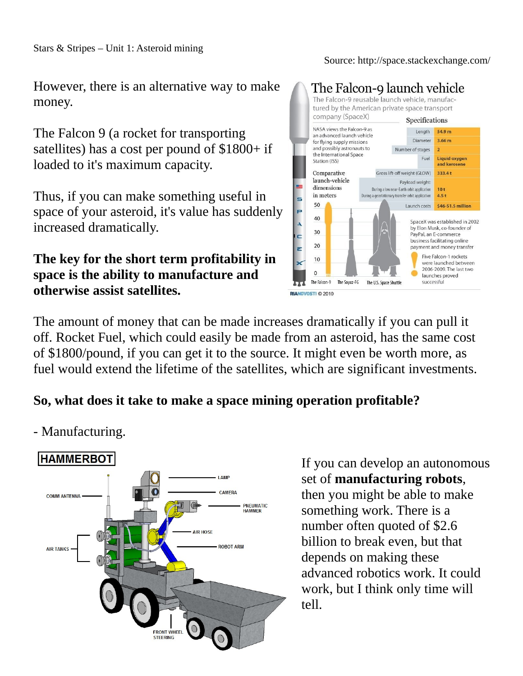#### Source: http://space.stackexchange.com/

However, there is an alternative way to make money.

The Falcon 9 (a rocket for transporting satellites) has a cost per pound of \$1800+ if loaded to it's maximum capacity.

Thus, if you can make something useful in space of your asteroid, it's value has suddenly increased dramatically.

# **The key for the short term profitability in space is the ability to manufacture and otherwise assist satellites.**



The amount of money that can be made increases dramatically if you can pull it off. Rocket Fuel, which could easily be made from an asteroid, has the same cost of \$1800/pound, if you can get it to the source. It might even be worth more, as fuel would extend the lifetime of the satellites, which are significant investments.

## **So, what does it take to make a space mining operation profitable?**

**HAMMERBOT LAMP** CAMERA **COMM ANTENNA PNEUMATIC HAMMER AIR HOSE ROBOT ARM AIR TANKS FRONT WHEEL** 

- Manufacturing.

# If you can develop an autonomous set of **manufacturing robots**, then you might be able to make something work. There is a number often quoted of \$2.6 billion to break even, but that depends on making these advanced robotics work. It could work, but I think only time will tell.